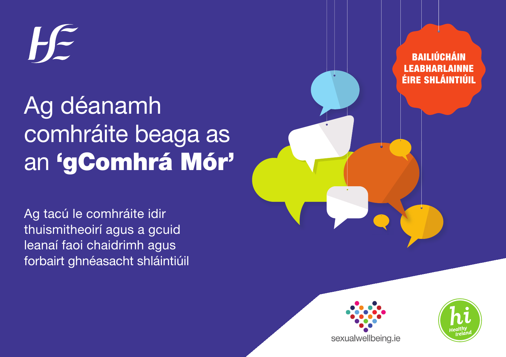$H \in$ 

# Ag déanamh comhráite beaga as an 'gComhrá Mór'

Ag tacú le comhráite idir thuismitheoirí agus a gcuid leanaí faoi chaidrimh agus forbairt ghnéasacht shláintiúil





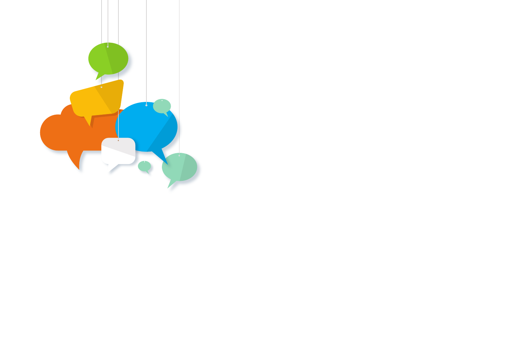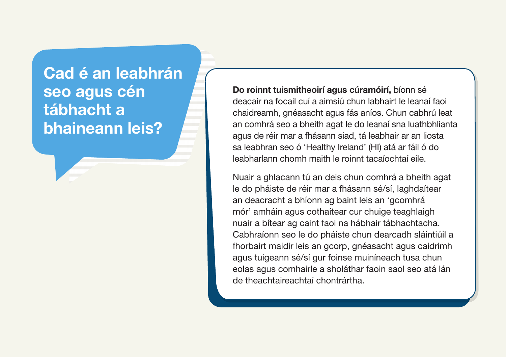### **Cad é an leabhrán seo agus cén tábhacht a bhaineann leis?**

**Do roinnt tuismitheoirí agus cúramóirí,** bíonn sé deacair na focail cuí a aimsiú chun labhairt le leanaí faoi chaidreamh, gnéasacht agus fás aníos. Chun cabhrú leat an comhrá seo a bheith agat le do leanaí sna luathbhlianta agus de réir mar a fhásann siad, tá leabhair ar an liosta sa leabhran seo ó 'Healthy Ireland' (HI) atá ar fáil ó do leabharlann chomh maith le roinnt tacaíochtaí eile.

Nuair a ghlacann tú an deis chun comhrá a bheith agat le do pháiste de réir mar a fhásann sé/sí, laghdaítear an deacracht a bhíonn ag baint leis an 'gcomhrá mór' amháin agus cothaítear cur chuige teaghlaigh nuair a bítear ag caint faoi na hábhair tábhachtacha. Cabhraíonn seo le do pháiste chun dearcadh sláintiúil a fhorbairt maidir leis an gcorp, gnéasacht agus caidrimh agus tuigeann sé/sí gur foinse muiníneach tusa chun eolas agus comhairle a sholáthar faoin saol seo atá lán de theachtaireachtaí chontrártha.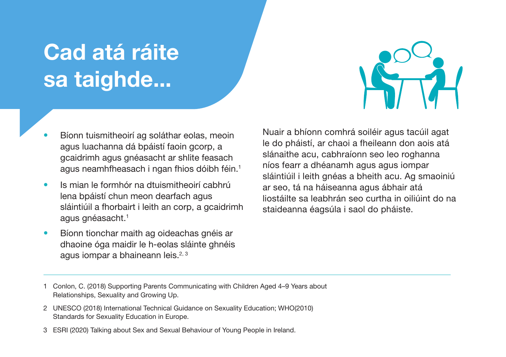## **Cad atá ráite sa taighde...**



- Bíonn tuismitheoirí ag soláthar eolas, meoin agus luachanna dá bpáistí faoin gcorp, a gcaidrimh agus gnéasacht ar shlite feasach agus neamhfheasach i ngan fhios dóibh féin.1
- Is mian le formhór na dtuismitheoirí cabhrú lena bpáistí chun meon dearfach agus sláintiúil a fhorbairt i leith an corp, a gcaidrimh agus gnéasacht.<sup>1</sup>
- Bíonn tionchar maith ag oideachas gnéis ar dhaoine óga maidir le h-eolas sláinte ghnéis agus iompar a bhaineann leis. $2,3$

Nuair a bhíonn comhrá soiléir agus tacúil agat le do pháistí, ar chaoi a fheileann don aois atá slánaithe acu, cabhraíonn seo leo roghanna níos fearr a dhéanamh agus agus iompar sláintiúil i leith gnéas a bheith acu. Ag smaoiniú ar seo, tá na háiseanna agus ábhair atá liostáilte sa leabhrán seo curtha in oiliúint do na staideanna éagsúla i saol do pháiste.

- 1 Conlon, C. (2018) Supporting Parents Communicating with Children Aged 4–9 Years about Relationships, Sexuality and Growing Up.
- 2 UNESCO (2018) International Technical Guidance on Sexuality Education; WHO(2010) Standards for Sexuality Education in Europe.
- 3 ESRI (2020) Talking about Sex and Sexual Behaviour of Young People in Ireland.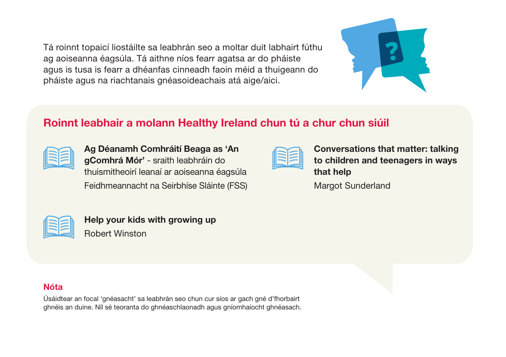Tá roinnt topaicí liostáilte sa leabhrán seo a moltar duit labhairt fúthu ag aoiseanna éagsúla. Tá aithne níos fearr agatsa ar do pháiste agus is tusa is fearr a dhéanfas cinneadh faoin méid a thuigeann do pháiste agus na riachtanais gnéasoideachais atá aige/aici.



#### **Roinnt leabhair a molann Healthy Ireland chun tú a chur chun siúil**



**Ag Déanamh Comhráití Beaga as 'An gComhrá Mór'** - sraith leabhráin do thuismitheoirí leanaí ar aoiseanna éagsúla Feidhmeannacht na Seirbhíse Sláinte (FSS)

**Conversations that matter: talking to children and teenagers in ways that help**

Margot Sunderland



**Help your kids with growing up** Robert Winston

#### **Nóta**

Úsáidtear an focal 'gnéasacht' sa leabhrán seo chun cur síos ar gach gné d'fhorbairt ghnéis an duine. Níl sé teoranta do ghnéaschlaonadh agus gníomhaíocht ghnéasach.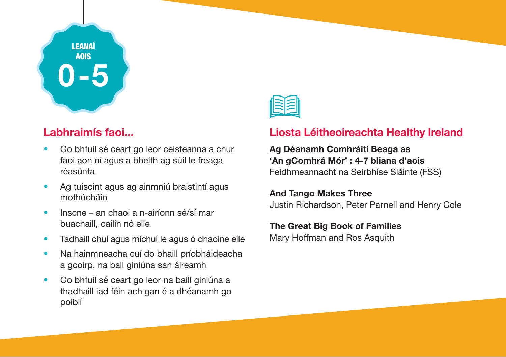

#### **Labhraimís faoi...**

- Go bhfuil sé ceart go leor ceisteanna a chur faoi aon ní agus a bheith ag súil le freaga réasúnta
- Ag tuiscint agus ag ainmniú braistintí agus mothúcháin
- Inscne an chaoi a n-airíonn sé/sí mar buachaill, cailín nó eile
- Tadhaill chuí agus míchuí le agus ó dhaoine eile
- Na hainmneacha cuí do bhaill príobháideacha a gcoirp, na ball giniúna san áireamh
- Go bhfuil sé ceart go leor na baill giniúna a thadhaill iad féin ach gan é a dhéanamh go poiblí



#### **Liosta Léitheoireachta Healthy Ireland**

**Ag Déanamh Comhráití Beaga as 'An gComhrá Mór' : 4-7 bliana d'aois** Feidhmeannacht na Seirbhíse Sláinte (FSS)

#### **And Tango Makes Three**

Justin Richardson, Peter Parnell and Henry Cole

### **The Great Big Book of Families**

Mary Hoffman and Ros Asquith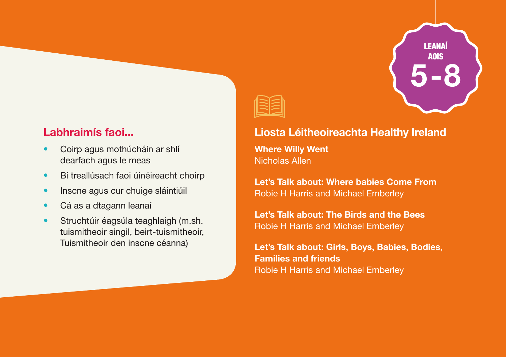



#### **Labhraimís faoi...**

- Coirp agus mothúcháin ar shlí dearfach agus le meas
- Bí treallúsach faoi úinéireacht choirp
- Inscne agus cur chuige sláintiúil
- Cá as a dtagann leanaí
- Struchtúir éagsúla teaghlaigh (m.sh. tuismitheoir singil, beirt-tuismitheoir, Tuismitheoir den inscne céanna)

#### **Liosta Léitheoireachta Healthy Ireland**

**Where Willy Went** Nicholas Allen

**Let's Talk about: Where babies Come From** Robie H Harris and Michael Emberley

**Let's Talk about: The Birds and the Bees** Robie H Harris and Michael Emberley

**Let's Talk about: Girls, Boys, Babies, Bodies, Families and friends**  Robie H Harris and Michael Emberley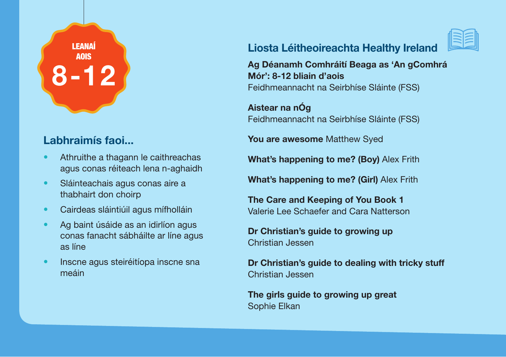

#### **Labhraimís faoi...**

- Athruithe a thagann le caithreachas agus conas réiteach lena n-aghaidh
- Sláinteachais agus conas aire a thabhairt don choirp
- Cairdeas sláintiúil agus mífholláin
- Ag baint úsáide as an idirlíon agus conas fanacht sábháilte ar líne agus as líne
- Inscne agus steiréitíopa inscne sna meáin

#### **Liosta Léitheoireachta Healthy Ireland**

**Ag Déanamh Comhráití Beaga as 'An gComhrá Mór': 8-12 bliain d'aois**  Feidhmeannacht na Seirbhíse Sláinte (FSS)

**Aistear na nÓg** Feidhmeannacht na Seirbhíse Sláinte (FSS)

**You are awesome** Matthew Syed

**What's happening to me? (Boy)** Alex Frith

**What's happening to me? (Girl)** Alex Frith

**The Care and Keeping of You Book 1**  Valerie Lee Schaefer and Cara Natterson

**Dr Christian's guide to growing up**  Christian Jessen

**Dr Christian's guide to dealing with tricky stuff**  Christian Jessen

**The girls guide to growing up great** Sophie Elkan

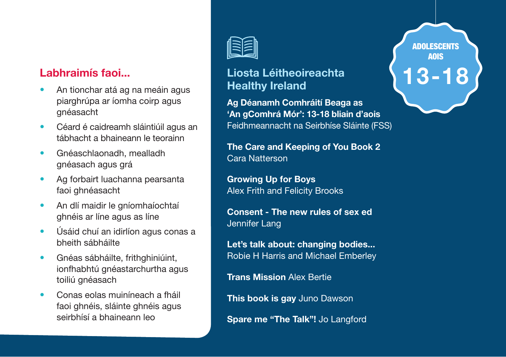- An tionchar atá ag na meáin agus piarghrúpa ar íomha coirp agus gnéasacht
- Céard é caidreamh sláintiúil agus an tábhacht a bhaineann le teorainn
- Gnéaschlaonadh, mealladh gnéasach agus grá
- Ag forbairt luachanna pearsanta faoi ghnéasacht
- An dlí maidir le gníomhaíochtaí ghnéis ar líne agus as líne
- Úsáid chuí an idirlíon agus conas a bheith sábháilte
- Gnéas sábháilte, frithghiniúint, ionfhabhtú gnéastarchurtha agus toiliú gnéasach
- Conas eolas muiníneach a fháil faoi ghnéis, sláinte ghnéis agus seirbhísí a bhaineann leo



#### **13-18 Labhraimís faoi... Liosta Léitheoireachta Healthy Ireland**

**Ag Déanamh Comhráití Beaga as 'An gComhrá Mór': 13-18 bliain d'aois**  Feidhmeannacht na Seirbhíse Sláinte (FSS)

**The Care and Keeping of You Book 2** Cara Natterson

**Growing Up for Boys** Alex Frith and Felicity Brooks

**Consent - The new rules of sex ed** Jennifer Lang

**Let's talk about: changing bodies...** Robie H Harris and Michael Emberley

**Trans Mission** Alex Bertie

**This book is gay** Juno Dawson

**Spare me "The Talk"!** Jo Langford

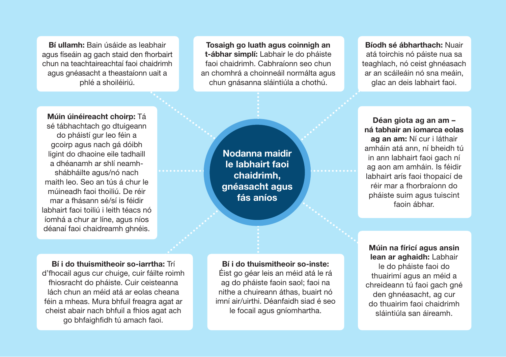**Bí ullamh:** Bain úsáide as leabhair agus físeáin ag gach staid den fhorbairt chun na teachtaireachtaí faoi chaidrimh agus gnéasacht a theastaíonn uait a phlé a shoiléiriú.

**Tosaigh go luath agus coinnigh an t-ábhar simplí:** Labhair le do pháiste faoi chaidrimh. Cabhraíonn seo chun an chomhrá a choinneáil normálta agus chun gnásanna sláintiúla a chothú.

**Bíodh sé ábharthach:** Nuair atá toirchis nó páiste nua sa teaghlach, nó ceist ghnéasach ar an scáileáin nó sna meáin, glac an deis labhairt faoi.

**Déan giota ag an am – ná tabhair an iomarca eolas ag an am:** Ní cur i láthair amháin atá ann, ní bheidh tú in ann labhairt faoi gach ní ag aon am amháin. Is féidir labhairt arís faoi thopaicí de réir mar a fhorbraíonn do pháiste suim agus tuiscint faoin ábhar.

**Múin na fíricí agus ansin lean ar aghaidh:** Labhair le do pháiste faoi do thuairimí agus an méid a chreideann tú faoi gach gné den ghnéasacht, ag cur do thuairim faoi chaidrimh sláintiúla san áireamh.

**Múin úinéireacht choirp:** Tá sé tábhachtach go dtuigeann do pháistí gur leo féin a gcoirp agus nach gá dóibh ligint do dhaoine eile tadhaill a dhéanamh ar shlí neamhshábháilte agus/nó nach maith leo. Seo an tús á chur le múineadh faoi thoiliú. De réir mar a fhásann sé/sí is féidir labhairt faoi toiliú i leith téacs nó íomhá a chur ar líne, agus níos déanaí faoi chaidreamh ghnéis.

**Bí i do thuismitheoir so-iarrtha:** Trí d'fhocail agus cur chuige, cuir fáilte roimh fhiosracht do pháiste. Cuir ceisteanna lách chun an méid atá ar eolas cheana féin a mheas. Mura bhfuil freagra agat ar cheist abair nach bhfuil a fhios agat ach go bhfaighfidh tú amach faoi.

**Nodanna maidir le labhairt faoi chaidrimh, gnéasacht agus fás aníos**

**Bí i do thuismitheoir so-inste:**  Éist go géar leis an méid atá le rá ag do pháiste faoin saol; faoi na nithe a chuireann áthas, buairt nó imní air/uirthi. Déanfaidh siad é seo le focail agus gníomhartha.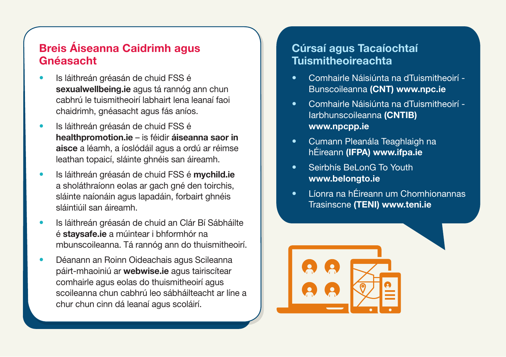#### **Breis Áiseanna Caidrimh agus Gnéasacht**

- Is láithreán gréasán de chuid FSS é **sexualwellbeing.ie** agus tá rannóg ann chun cabhrú le tuismitheoirí labhairt lena leanaí faoi chaidrimh, gnéasacht agus fás aníos.
- Is láithreán gréasán de chuid FSS é **healthpromotion.ie** – is féidir **áiseanna saor in aisce** a léamh, a íoslódáil agus a ordú ar réimse leathan topaicí, sláinte ghnéis san áireamh.
- Is láithreán gréasán de chuid FSS é **mychild.ie** a sholáthraíonn eolas ar gach gné den toirchis, sláinte naíonáin agus lapadáin, forbairt ghnéis sláintiúil san áireamh.
- Is láithreán gréasán de chuid an Clár Bí Sábháilte é **staysafe.ie** a múintear i bhformhór na mbunscoileanna. Tá rannóg ann do thuismitheoirí.
- Déanann an Roinn Oideachais agus Scileanna páirt-mhaoiniú ar **webwise.ie** agus tairiscítear comhairle agus eolas do thuismitheoirí agus scoileanna chun cabhrú leo sábháilteacht ar líne a chur chun cinn dá leanaí agus scoláirí.

#### **Cúrsaí agus Tacaíochtaí Tuismitheoireachta**

- Comhairle Náisiúnta na dTuismitheoirí Bunscoileanna **(CNT) www.npc.ie**
- Comhairle Náisiúnta na dTuismitheoirí Iarbhunscoileanna **(CNTIB) www.npcpp.ie**
- Cumann Pleanála Teaghlaigh na hÉireann **(IFPA) www.ifpa.ie**
- Seirbhís BeLonG To Youth **www.belongto.ie**
- Líonra na hÉireann um Chomhionannas Trasinscne **(TENI) www.teni.ie**